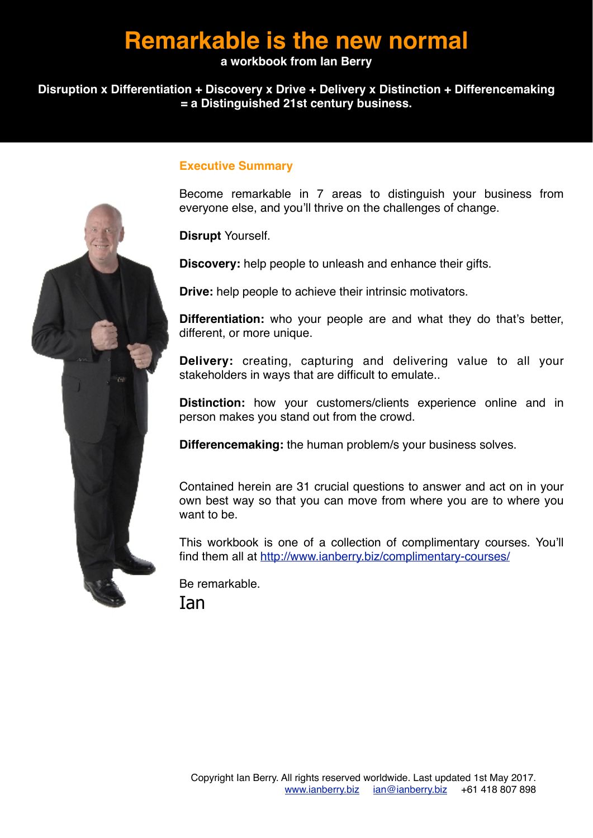# **Remarkable is the new normal**

#### **a workbook from Ian Berry**

#### **Disruption x Differentiation + Discovery x Drive + Delivery x Distinction + Differencemaking = a Distinguished 21st century business.**



#### **Executive Summary**

Become remarkable in 7 areas to distinguish your business from everyone else, and you'll thrive on the challenges of change.

**Disrupt** Yourself.

**Discovery:** help people to unleash and enhance their gifts.

**Drive:** help people to achieve their intrinsic motivators.

**Differentiation:** who your people are and what they do that's better, different, or more unique.

**Delivery:** creating, capturing and delivering value to all your stakeholders in ways that are difficult to emulate..

**Distinction:** how your customers/clients experience online and in person makes you stand out from the crowd.

**Differencemaking:** the human problem/s your business solves.

Contained herein are 31 crucial questions to answer and act on in your own best way so that you can move from where you are to where you want to be.

This workbook is one of a collection of complimentary courses. You'll find them all at<http://www.ianberry.biz/complimentary-courses/>

Be remarkable. Ian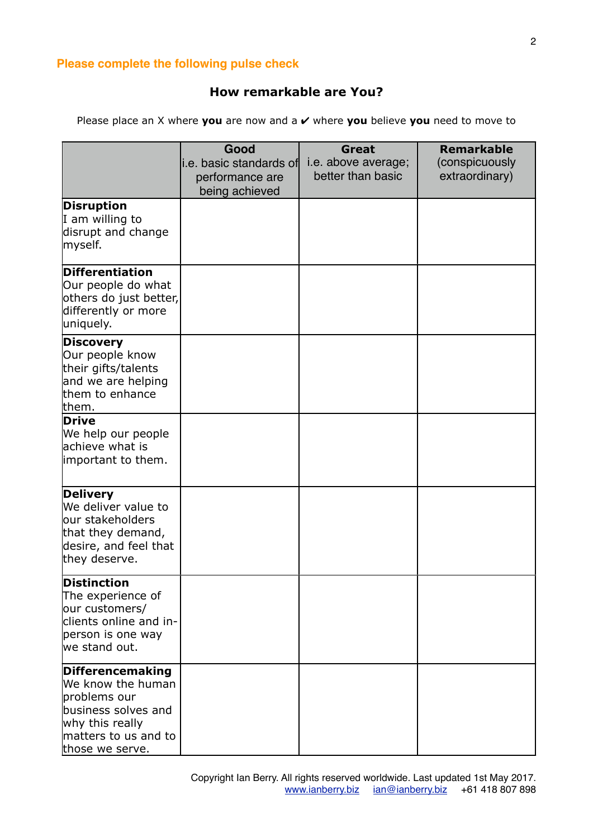#### **Please complete the following pulse check**

#### **How remarkable are You?**

Please place an X where **you** are now and a ✔ where **you** believe **you** need to move to

|                                                                                                                                            | Good                                                          | Great                                    | <b>Remarkable</b>                |
|--------------------------------------------------------------------------------------------------------------------------------------------|---------------------------------------------------------------|------------------------------------------|----------------------------------|
|                                                                                                                                            | li.e. basic standards of<br>performance are<br>being achieved | i.e. above average;<br>better than basic | (conspicuously<br>extraordinary) |
| <b>Disruption</b><br>I am willing to<br>disrupt and change<br>myself.                                                                      |                                                               |                                          |                                  |
| <b>Differentiation</b><br>Our people do what<br>others do just better,<br>differently or more<br>uniquely.                                 |                                                               |                                          |                                  |
| <b>Discovery</b><br>Our people know<br>their gifts/talents<br>and we are helping<br>them to enhance<br>lthem.                              |                                                               |                                          |                                  |
| Drive<br>We help our people<br>lachieve what is<br>important to them.                                                                      |                                                               |                                          |                                  |
| <b>Delivery</b><br>We deliver value to<br>our stakeholders<br>that they demand,<br>desire, and feel that<br>they deserve.                  |                                                               |                                          |                                  |
| <b>Distinction</b><br>The experience of<br>our customers/<br>clients online and in-<br>person is one way<br>we stand out.                  |                                                               |                                          |                                  |
| Differencemaking<br>We know the human<br>problems our<br>business solves and<br>why this really<br>matters to us and to<br>those we serve. |                                                               |                                          |                                  |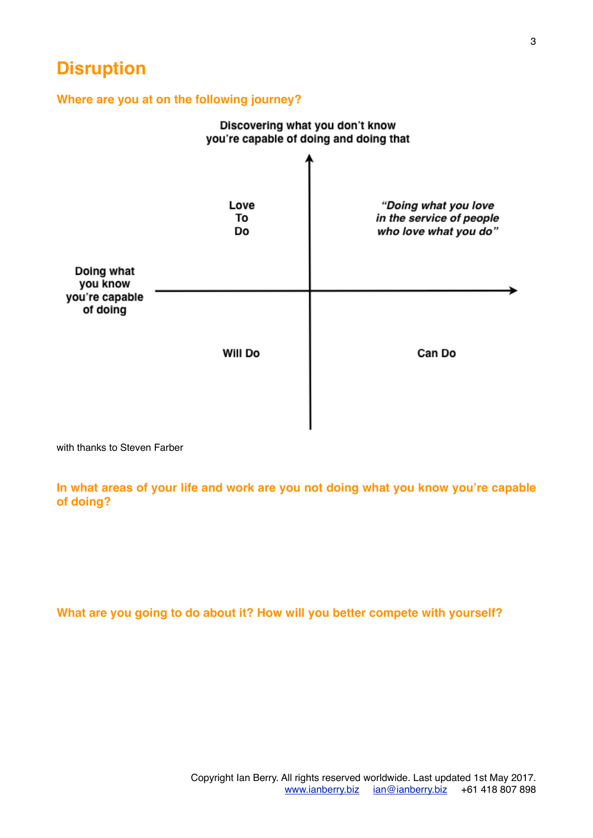# **Disruption**

#### **Where are you at on the following journey?**



with thanks to Steven Farber

**In what areas of your life and work are you not doing what you know you're capable of doing?**

**What are you going to do about it? How will you better compete with yourself?**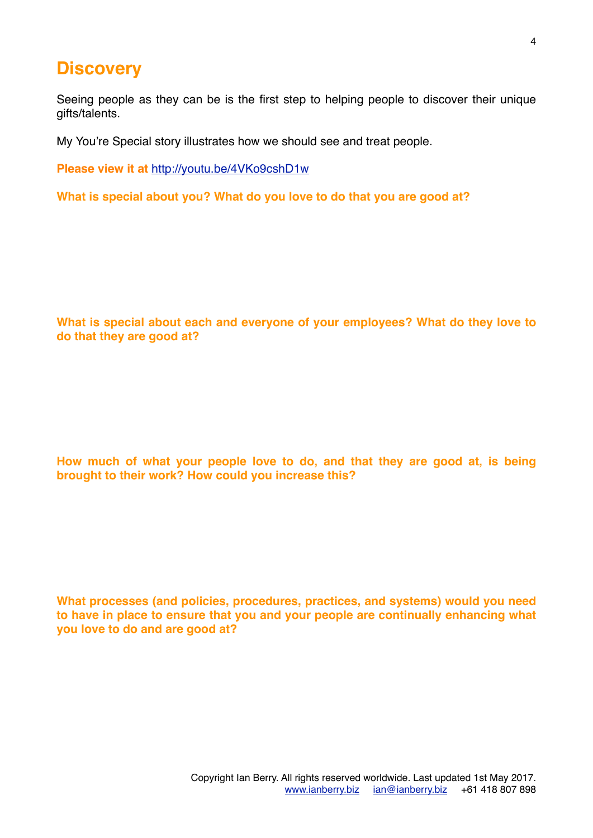### **Discovery**

Seeing people as they can be is the first step to helping people to discover their unique gifts/talents.

My You're Special story illustrates how we should see and treat people.

**Please view it at** <http://youtu.be/4VKo9cshD1w>

**What is special about you? What do you love to do that you are good at?**

**What is special about each and everyone of your employees? What do they love to do that they are good at?**

**How much of what your people love to do, and that they are good at, is being brought to their work? How could you increase this?**

**What processes (and policies, procedures, practices, and systems) would you need to have in place to ensure that you and your people are continually enhancing what you love to do and are good at?**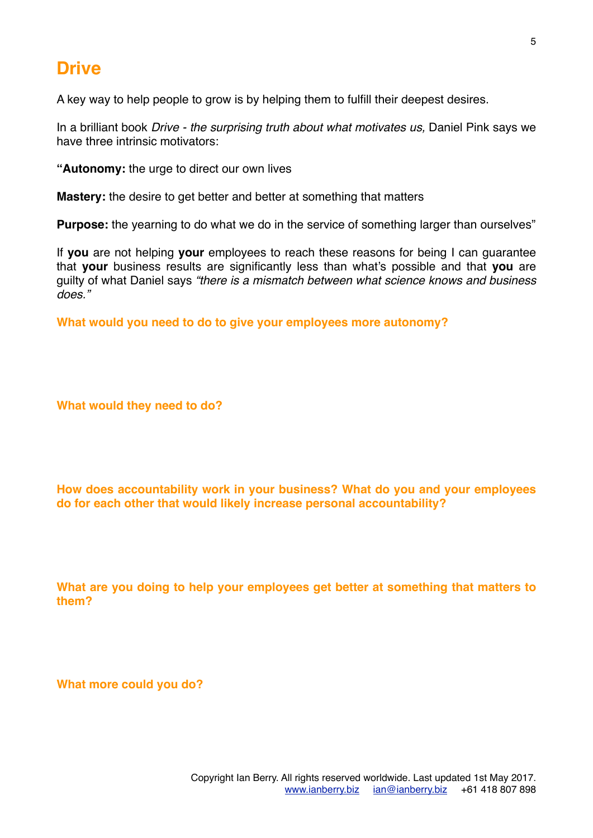# **Drive**

A key way to help people to grow is by helping them to fulfill their deepest desires.

In a brilliant book *Drive - the surprising truth about what motivates us,* Daniel Pink says we have three intrinsic motivators:

**"Autonomy:** the urge to direct our own lives

**Mastery:** the desire to get better and better at something that matters

**Purpose:** the yearning to do what we do in the service of something larger than ourselves"

If **you** are not helping **your** employees to reach these reasons for being I can guarantee that **your** business results are significantly less than what's possible and that **you** are guilty of what Daniel says *"there is a mismatch between what science knows and business does."*

**What would you need to do to give your employees more autonomy?**

**What would they need to do?**

**How does accountability work in your business? What do you and your employees do for each other that would likely increase personal accountability?**

**What are you doing to help your employees get better at something that matters to them?** 

**What more could you do?**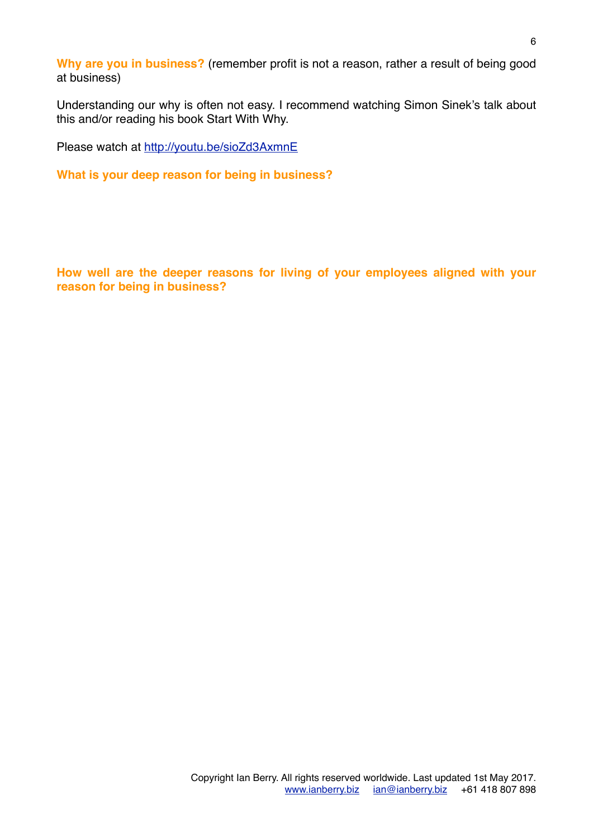**Why are you in business?** (remember profit is not a reason, rather a result of being good at business)

Understanding our why is often not easy. I recommend watching Simon Sinek's talk about this and/or reading his book Start With Why.

Please watch at <http://youtu.be/sioZd3AxmnE>

**What is your deep reason for being in business?**

**How well are the deeper reasons for living of your employees aligned with your reason for being in business?**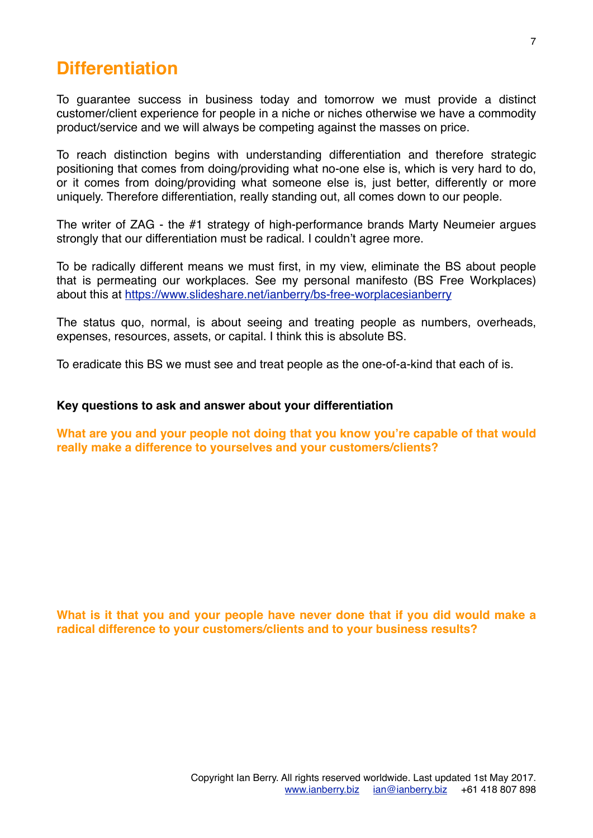### **Differentiation**

To guarantee success in business today and tomorrow we must provide a distinct customer/client experience for people in a niche or niches otherwise we have a commodity product/service and we will always be competing against the masses on price.

To reach distinction begins with understanding differentiation and therefore strategic positioning that comes from doing/providing what no-one else is, which is very hard to do, or it comes from doing/providing what someone else is, just better, differently or more uniquely. Therefore differentiation, really standing out, all comes down to our people.

The writer of ZAG - the #1 strategy of high-performance brands Marty Neumeier argues strongly that our differentiation must be radical. I couldn't agree more.

To be radically different means we must first, in my view, eliminate the BS about people that is permeating our workplaces. See my personal manifesto (BS Free Workplaces) about this at <https://www.slideshare.net/ianberry/bs-free-worplacesianberry>

The status quo, normal, is about seeing and treating people as numbers, overheads, expenses, resources, assets, or capital. I think this is absolute BS.

To eradicate this BS we must see and treat people as the one-of-a-kind that each of is.

#### **Key questions to ask and answer about your differentiation**

**What are you and your people not doing that you know you're capable of that would really make a difference to yourselves and your customers/clients?**

**What is it that you and your people have never done that if you did would make a radical difference to your customers/clients and to your business results?**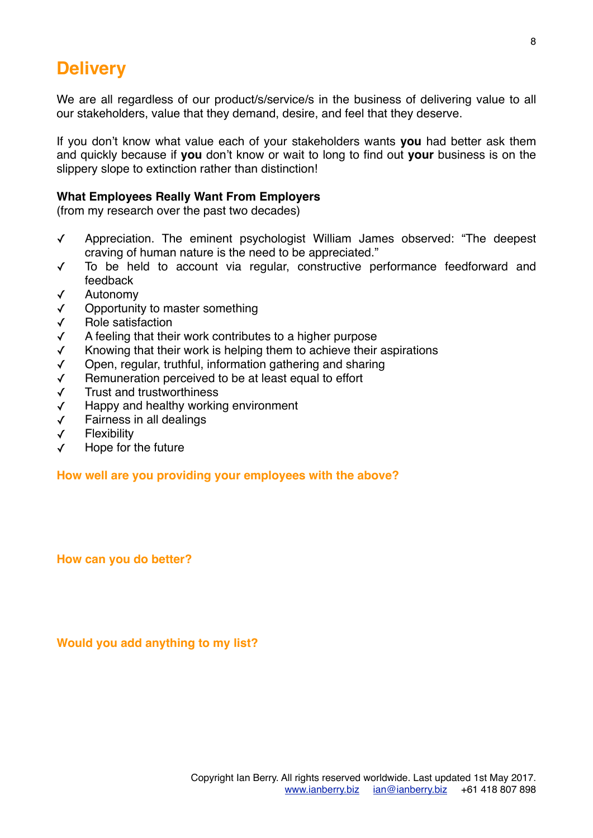# **Delivery**

We are all regardless of our product/s/service/s in the business of delivering value to all our stakeholders, value that they demand, desire, and feel that they deserve.

If you don't know what value each of your stakeholders wants **you** had better ask them and quickly because if **you** don't know or wait to long to find out **your** business is on the slippery slope to extinction rather than distinction!

#### **What Employees Really Want From Employers**

(from my research over the past two decades)

- ✓ Appreciation. The eminent psychologist William James observed: "The deepest craving of human nature is the need to be appreciated."
- ✓ To be held to account via regular, constructive performance feedforward and feedback
- ✓ Autonomy
- ✓ Opportunity to master something
- ✓ Role satisfaction
- ✓ A feeling that their work contributes to a higher purpose
- ✓ Knowing that their work is helping them to achieve their aspirations
- ✓ Open, regular, truthful, information gathering and sharing
- ✓ Remuneration perceived to be at least equal to effort
- ✓ Trust and trustworthiness
- ✓ Happy and healthy working environment
- ✓ Fairness in all dealings
- ✓ Flexibility
- ✓ Hope for the future

**How well are you providing your employees with the above?** 

**How can you do better?**

**Would you add anything to my list?**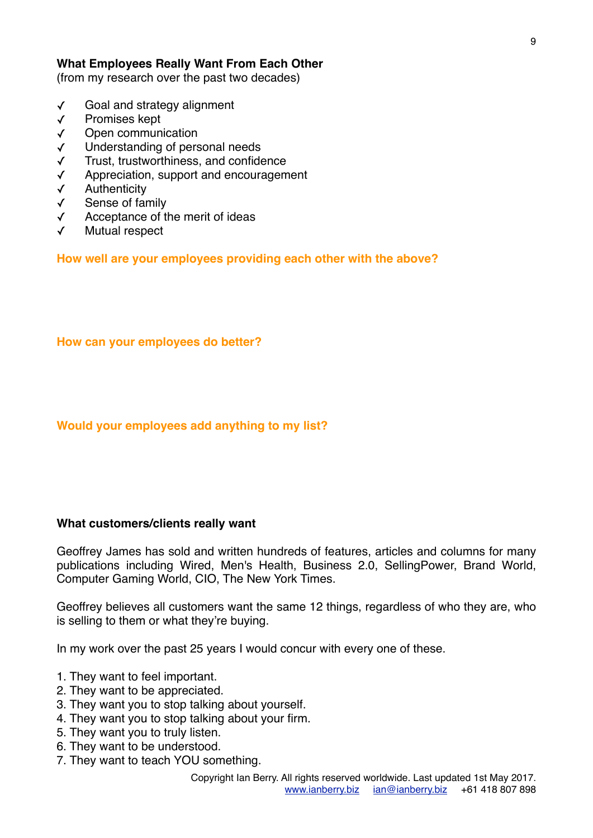#### **What Employees Really Want From Each Other**

(from my research over the past two decades)

- ✓ Goal and strategy alignment
- ✓ Promises kept
- ✓ Open communication
- ✓ Understanding of personal needs
- ✓ Trust, trustworthiness, and confidence
- Appreciation, support and encouragement
- ✓ Authenticity
- ✓ Sense of family
- ✓ Acceptance of the merit of ideas
- Mutual respect

**How well are your employees providing each other with the above?** 

**How can your employees do better?**

#### **Would your employees add anything to my list?**

#### **What customers/clients really want**

Geoffrey James has sold and written hundreds of features, articles and columns for many publications including Wired, Men's Health, Business 2.0, SellingPower, Brand World, Computer Gaming World, CIO, The New York Times.

Geoffrey believes all customers want the same 12 things, regardless of who they are, who is selling to them or what they're buying.

In my work over the past 25 years I would concur with every one of these.

- 1. They want to feel important.
- 2. They want to be appreciated.
- 3. They want you to stop talking about yourself.
- 4. They want you to stop talking about your firm.
- 5. They want you to truly listen.
- 6. They want to be understood.
- 7. They want to teach YOU something.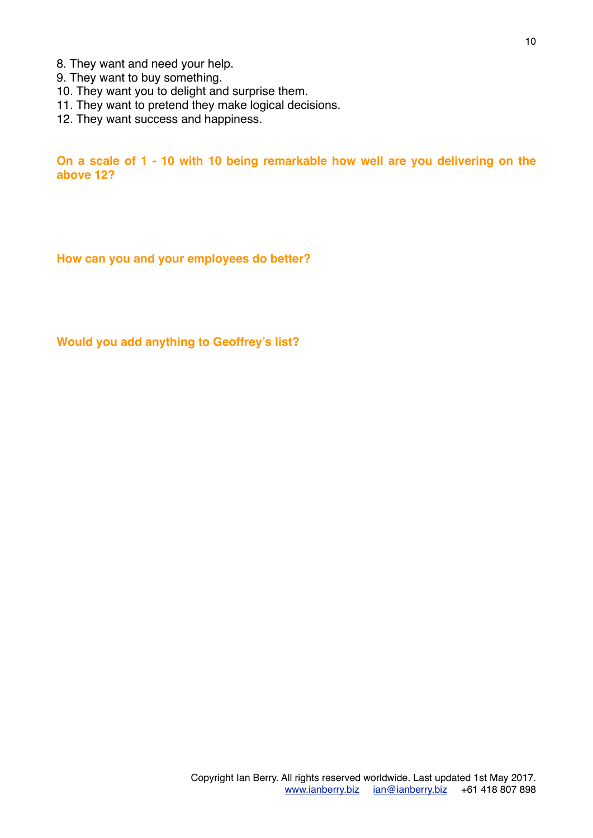- 8. They want and need your help.
- 9. They want to buy something.
- 10. They want you to delight and surprise them.
- 11. They want to pretend they make logical decisions.
- 12. They want success and happiness.

**On a scale of 1 - 10 with 10 being remarkable how well are you delivering on the above 12?**

**How can you and your employees do better?**

**Would you add anything to Geoffrey's list?**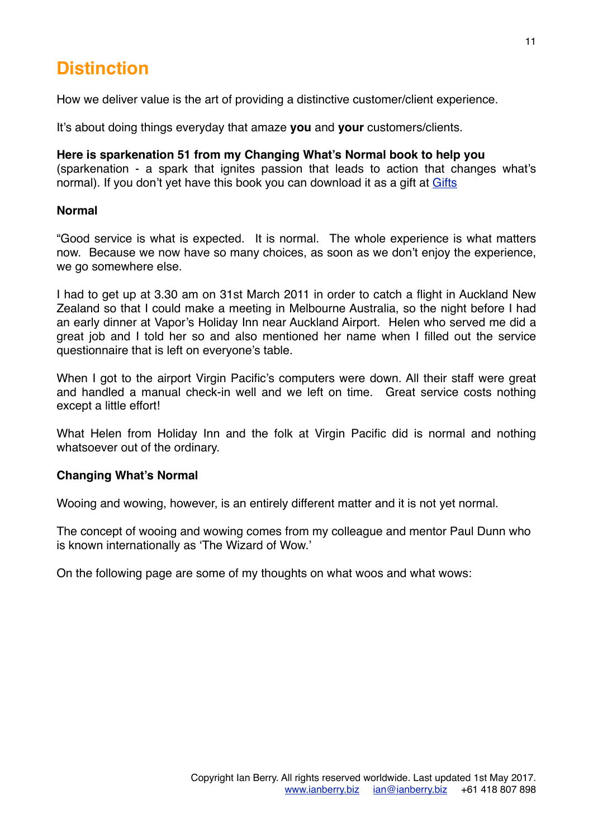# **Distinction**

How we deliver value is the art of providing a distinctive customer/client experience.

It's about doing things everyday that amaze **you** and **your** customers/clients.

**Here is sparkenation 51 from my Changing What's Normal book to help you** (sparkenation - a spark that ignites passion that leads to action that changes what's normal). If you don't yet have this book you can download it as a gift at [Gifts](http://www.ianberry.biz/better-business-results-less-personal-cost/)

#### **Normal**

"Good service is what is expected. It is normal. The whole experience is what matters now. Because we now have so many choices, as soon as we don't enjoy the experience, we go somewhere else.

I had to get up at 3.30 am on 31st March 2011 in order to catch a flight in Auckland New Zealand so that I could make a meeting in Melbourne Australia, so the night before I had an early dinner at Vapor's Holiday Inn near Auckland Airport. Helen who served me did a great job and I told her so and also mentioned her name when I filled out the service questionnaire that is left on everyone's table.

When I got to the airport Virgin Pacific's computers were down. All their staff were great and handled a manual check-in well and we left on time. Great service costs nothing except a little effort!

What Helen from Holiday Inn and the folk at Virgin Pacific did is normal and nothing whatsoever out of the ordinary.

#### **Changing What's Normal**

Wooing and wowing, however, is an entirely different matter and it is not yet normal.

The concept of wooing and wowing comes from my colleague and mentor Paul Dunn who is known internationally as 'The Wizard of Wow.'

On the following page are some of my thoughts on what woos and what wows: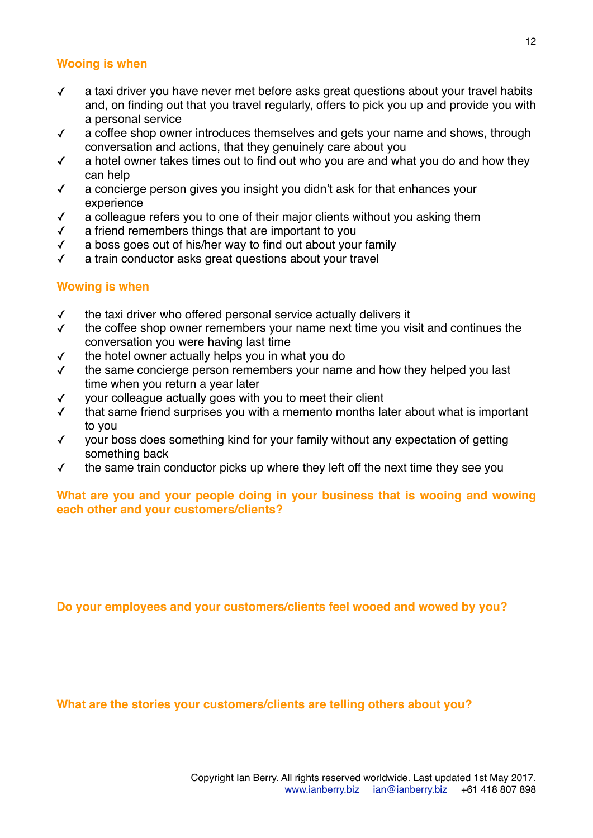#### **Wooing is when**

- ✓ a taxi driver you have never met before asks great questions about your travel habits and, on finding out that you travel regularly, offers to pick you up and provide you with a personal service
- ✓ a coffee shop owner introduces themselves and gets your name and shows, through conversation and actions, that they genuinely care about you
- ✓ a hotel owner takes times out to find out who you are and what you do and how they can help
- ✓ a concierge person gives you insight you didn't ask for that enhances your experience
- ✓ a colleague refers you to one of their major clients without you asking them
- ✓ a friend remembers things that are important to you
- ✓ a boss goes out of his/her way to find out about your family
- ✓ a train conductor asks great questions about your travel

#### **Wowing is when**

- ✓ the taxi driver who offered personal service actually delivers it
- ✓ the coffee shop owner remembers your name next time you visit and continues the conversation you were having last time
- ✓ the hotel owner actually helps you in what you do
- ✓ the same concierge person remembers your name and how they helped you last time when you return a year later
- ✓ your colleague actually goes with you to meet their client
- ✓ that same friend surprises you with a memento months later about what is important to you
- ✓ your boss does something kind for your family without any expectation of getting something back
- ✓ the same train conductor picks up where they left off the next time they see you

#### **What are you and your people doing in your business that is wooing and wowing each other and your customers/clients?**

**Do your employees and your customers/clients feel wooed and wowed by you?**

**What are the stories your customers/clients are telling others about you?**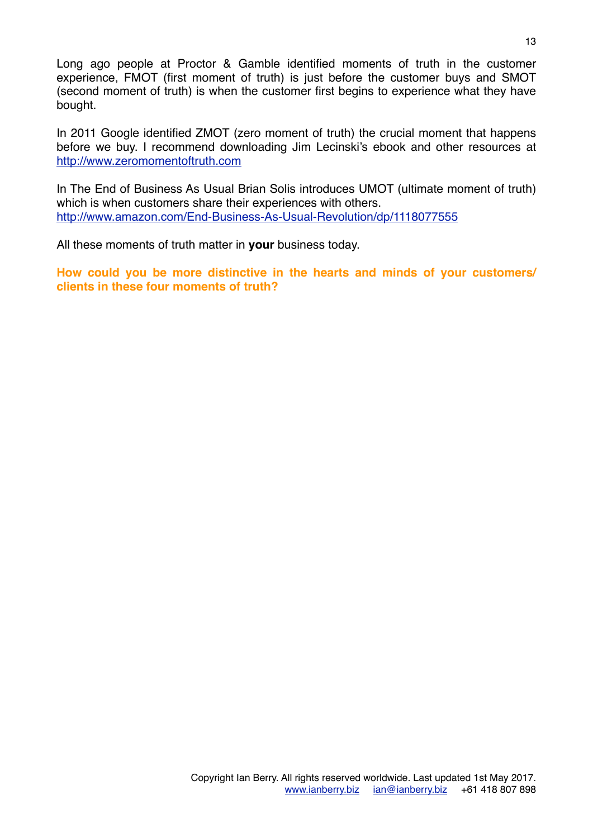Long ago people at Proctor & Gamble identified moments of truth in the customer experience, FMOT (first moment of truth) is just before the customer buys and SMOT (second moment of truth) is when the customer first begins to experience what they have bought.

In 2011 Google identified ZMOT (zero moment of truth) the crucial moment that happens before we buy. I recommend downloading Jim Lecinski's ebook and other resources at <http://www.zeromomentoftruth.com>

In The End of Business As Usual Brian Solis introduces UMOT (ultimate moment of truth) which is when customers share their experiences with others. <http://www.amazon.com/End-Business-As-Usual-Revolution/dp/1118077555>

All these moments of truth matter in **your** business today.

**How could you be more distinctive in the hearts and minds of your customers/ clients in these four moments of truth?**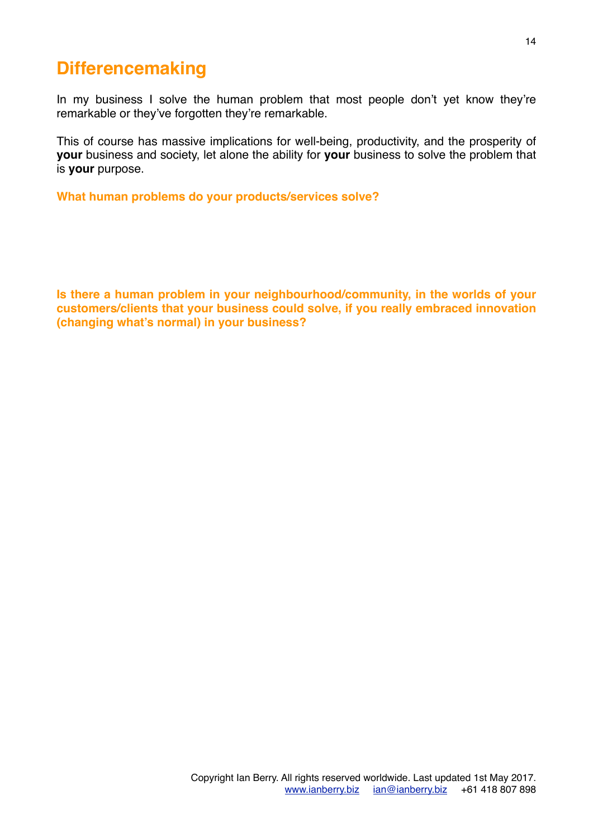# **Differencemaking**

In my business I solve the human problem that most people don't yet know they're remarkable or they've forgotten they're remarkable.

This of course has massive implications for well-being, productivity, and the prosperity of **your** business and society, let alone the ability for **your** business to solve the problem that is **your** purpose.

**What human problems do your products/services solve?**

**Is there a human problem in your neighbourhood/community, in the worlds of your customers/clients that your business could solve, if you really embraced innovation (changing what's normal) in your business?**